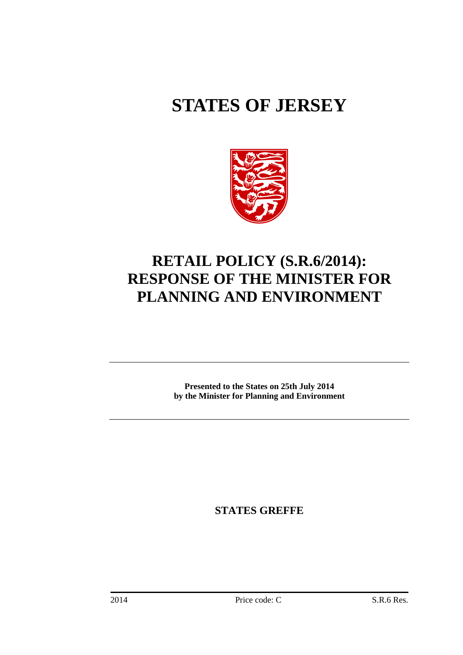# **STATES OF JERSEY**



## **RETAIL POLICY (S.R.6/2014): RESPONSE OF THE MINISTER FOR PLANNING AND ENVIRONMENT**

**Presented to the States on 25th July 2014 by the Minister for Planning and Environment** 

**STATES GREFFE**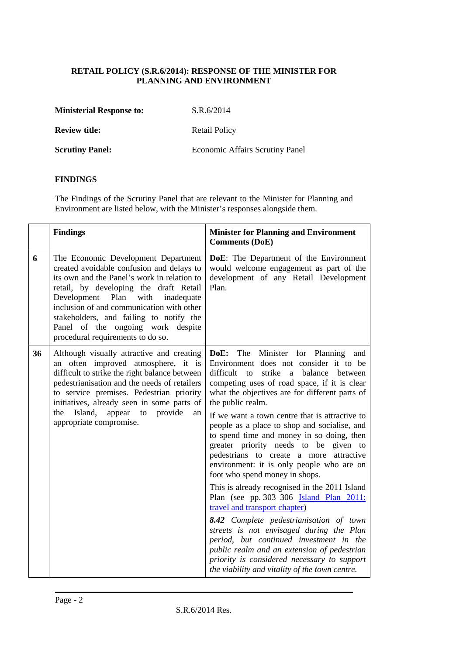### **RETAIL POLICY (S.R.6/2014): RESPONSE OF THE MINISTER FOR PLANNING AND ENVIRONMENT**

| <b>Ministerial Response to:</b> | S.R.6/2014                      |
|---------------------------------|---------------------------------|
| <b>Review title:</b>            | Retail Policy                   |
| <b>Scrutiny Panel:</b>          | Economic Affairs Scrutiny Panel |

## **FINDINGS**

The Findings of the Scrutiny Panel that are relevant to the Minister for Planning and Environment are listed below, with the Minister's responses alongside them.

|    | <b>Findings</b>                                                                                                                                                                                                                                                                                                                                                                          | <b>Minister for Planning and Environment</b><br><b>Comments (DoE)</b>                                                                                                                                                                                                                                                                                                                                                                                                                                                                                                                                                                                                                                                                                                                                                                                                                                                                                                                             |
|----|------------------------------------------------------------------------------------------------------------------------------------------------------------------------------------------------------------------------------------------------------------------------------------------------------------------------------------------------------------------------------------------|---------------------------------------------------------------------------------------------------------------------------------------------------------------------------------------------------------------------------------------------------------------------------------------------------------------------------------------------------------------------------------------------------------------------------------------------------------------------------------------------------------------------------------------------------------------------------------------------------------------------------------------------------------------------------------------------------------------------------------------------------------------------------------------------------------------------------------------------------------------------------------------------------------------------------------------------------------------------------------------------------|
| 6  | The Economic Development Department<br>created avoidable confusion and delays to<br>its own and the Panel's work in relation to<br>retail, by developing the draft Retail<br>Development<br>Plan<br>with<br>inadequate<br>inclusion of and communication with other<br>stakeholders, and failing to notify the<br>Panel of the ongoing work despite<br>procedural requirements to do so. | DoE: The Department of the Environment<br>would welcome engagement as part of the<br>development of any Retail Development<br>Plan.                                                                                                                                                                                                                                                                                                                                                                                                                                                                                                                                                                                                                                                                                                                                                                                                                                                               |
| 36 | Although visually attractive and creating<br>an often improved atmosphere, it is<br>difficult to strike the right balance between<br>pedestrianisation and the needs of retailers<br>to service premises. Pedestrian priority<br>initiatives, already seen in some parts of<br>Island,<br>to<br>provide<br>the<br>appear<br>an<br>appropriate compromise.                                | The Minister for Planning<br>DoE:<br>and<br>Environment does not consider it to be<br>difficult to<br>strike a balance<br>between<br>competing uses of road space, if it is clear<br>what the objectives are for different parts of<br>the public realm.<br>If we want a town centre that is attractive to<br>people as a place to shop and socialise, and<br>to spend time and money in so doing, then<br>greater priority needs to be given to<br>pedestrians to create a more attractive<br>environment: it is only people who are on<br>foot who spend money in shops.<br>This is already recognised in the 2011 Island<br>Plan (see pp. 303–306 <b>Island Plan 2011</b> :<br>travel and transport chapter)<br>8.42 Complete pedestrianisation of town<br>streets is not envisaged during the Plan<br>period, but continued investment in the<br>public realm and an extension of pedestrian<br>priority is considered necessary to support<br>the viability and vitality of the town centre. |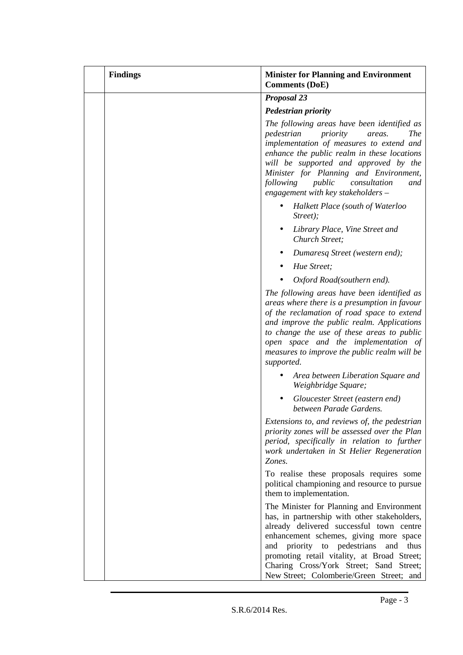| <b>Findings</b> | <b>Minister for Planning and Environment</b><br><b>Comments (DoE)</b>                                                                                                                                                                                                                                                                                           |
|-----------------|-----------------------------------------------------------------------------------------------------------------------------------------------------------------------------------------------------------------------------------------------------------------------------------------------------------------------------------------------------------------|
|                 | <b>Proposal 23</b>                                                                                                                                                                                                                                                                                                                                              |
|                 | <b>Pedestrian priority</b>                                                                                                                                                                                                                                                                                                                                      |
|                 | The following areas have been identified as<br>pedestrian<br>priority<br><b>The</b><br>areas.<br>implementation of measures to extend and<br>enhance the public realm in these locations<br>will be supported and approved by the<br>Minister for Planning and Environment,<br>following<br>public<br>consultation<br>and<br>engagement with key stakeholders - |
|                 | Halkett Place (south of Waterloo<br>Street);                                                                                                                                                                                                                                                                                                                    |
|                 | Library Place, Vine Street and<br>Church Street;                                                                                                                                                                                                                                                                                                                |
|                 | Dumaresq Street (western end);                                                                                                                                                                                                                                                                                                                                  |
|                 | Hue Street;                                                                                                                                                                                                                                                                                                                                                     |
|                 | Oxford Road(southern end).                                                                                                                                                                                                                                                                                                                                      |
|                 | The following areas have been identified as<br>areas where there is a presumption in favour<br>of the reclamation of road space to extend<br>and improve the public realm. Applications<br>to change the use of these areas to public<br>open space and the implementation of<br>measures to improve the public realm will be<br>supported.                     |
|                 | Area between Liberation Square and<br>Weighbridge Square;                                                                                                                                                                                                                                                                                                       |
|                 | Gloucester Street (eastern end)<br>between Parade Gardens.                                                                                                                                                                                                                                                                                                      |
|                 | Extensions to, and reviews of, the pedestrian<br>priority zones will be assessed over the Plan<br>period, specifically in relation to further<br>work undertaken in St Helier Regeneration<br>Zones.                                                                                                                                                            |
|                 | To realise these proposals requires some<br>political championing and resource to pursue<br>them to implementation.                                                                                                                                                                                                                                             |
|                 | The Minister for Planning and Environment<br>has, in partnership with other stakeholders,<br>already delivered successful town centre<br>enhancement schemes, giving more space<br>priority to pedestrians<br>thus<br>and<br>and<br>promoting retail vitality, at Broad Street;<br>Charing Cross/York Street; Sand Street;                                      |
|                 | New Street; Colomberie/Green Street; and                                                                                                                                                                                                                                                                                                                        |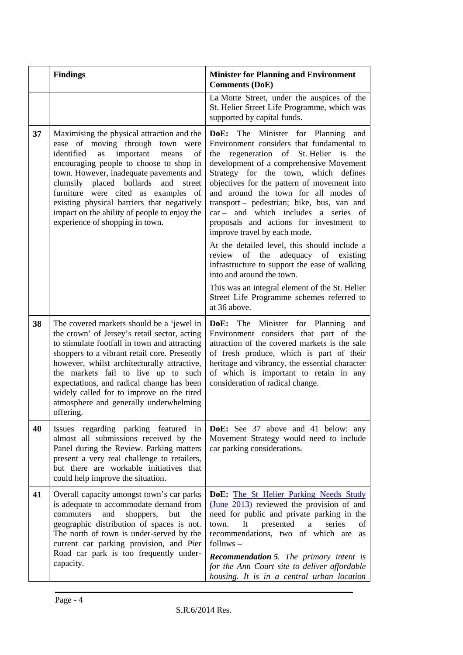|    | <b>Findings</b>                                                                                                                                                                                                                                                                                                                                                                                                                        | <b>Minister for Planning and Environment</b><br><b>Comments (DoE)</b>                                                                                                                                                                                                                                                                                                                                                                                                                                                                                                                                                                                                                                                                                        |
|----|----------------------------------------------------------------------------------------------------------------------------------------------------------------------------------------------------------------------------------------------------------------------------------------------------------------------------------------------------------------------------------------------------------------------------------------|--------------------------------------------------------------------------------------------------------------------------------------------------------------------------------------------------------------------------------------------------------------------------------------------------------------------------------------------------------------------------------------------------------------------------------------------------------------------------------------------------------------------------------------------------------------------------------------------------------------------------------------------------------------------------------------------------------------------------------------------------------------|
|    |                                                                                                                                                                                                                                                                                                                                                                                                                                        | La Motte Street, under the auspices of the<br>St. Helier Street Life Programme, which was<br>supported by capital funds.                                                                                                                                                                                                                                                                                                                                                                                                                                                                                                                                                                                                                                     |
| 37 | Maximising the physical attraction and the<br>ease of moving through town were<br>important<br>identified<br>as<br>means<br>οf<br>encouraging people to choose to shop in<br>town. However, inadequate pavements and<br>clumsily placed bollards and<br>street<br>furniture were cited as examples of<br>existing physical barriers that negatively<br>impact on the ability of people to enjoy the<br>experience of shopping in town. | DoE: The Minister for Planning and<br>Environment considers that fundamental to<br>regeneration of St. Helier is<br>the<br>the<br>development of a comprehensive Movement<br>Strategy for the town, which defines<br>objectives for the pattern of movement into<br>and around the town for all modes of<br>transport - pedestrian; bike, bus, van and<br>car – and which includes a series of<br>proposals and actions for investment to<br>improve travel by each mode.<br>At the detailed level, this should include a<br>review of the adequacy of existing<br>infrastructure to support the ease of walking<br>into and around the town.<br>This was an integral element of the St. Helier<br>Street Life Programme schemes referred to<br>at 36 above. |
| 38 | The covered markets should be a 'jewel in<br>the crown' of Jersey's retail sector, acting<br>to stimulate footfall in town and attracting<br>shoppers to a vibrant retail core. Presently<br>however, whilst architecturally attractive,<br>the markets fail to live up to such<br>expectations, and radical change has been<br>widely called for to improve on the tired<br>atmosphere and generally underwhelming<br>offering.       | DoE: The Minister for Planning and<br>Environment considers that part of the<br>attraction of the covered markets is the sale<br>of fresh produce, which is part of their<br>heritage and vibrancy, the essential character<br>of which is important to retain in any<br>consideration of radical change.                                                                                                                                                                                                                                                                                                                                                                                                                                                    |
| 40 | Issues regarding parking featured in<br>almost all submissions received by the<br>Panel during the Review. Parking matters<br>present a very real challenge to retailers,<br>but there are workable initiatives that<br>could help improve the situation.                                                                                                                                                                              | <b>DoE:</b> See 37 above and 41 below: any<br>Movement Strategy would need to include<br>car parking considerations.                                                                                                                                                                                                                                                                                                                                                                                                                                                                                                                                                                                                                                         |
| 41 | Overall capacity amongst town's car parks<br>is adequate to accommodate demand from<br>commuters<br>and<br>shoppers,<br>but<br>the<br>geographic distribution of spaces is not.<br>The north of town is under-served by the<br>current car parking provision, and Pier<br>Road car park is too frequently under-<br>capacity.                                                                                                          | DoE: The St Helier Parking Needs Study<br>$(June 2013)$ reviewed the provision of and<br>need for public and private parking in the<br>It<br>presented<br>town.<br>a<br>series<br>of<br>recommendations, two of which are<br><b>as</b><br>follows –<br><b>Recommendation 5.</b> The primary intent is<br>for the Ann Court site to deliver affordable<br>housing. It is in a central urban location                                                                                                                                                                                                                                                                                                                                                          |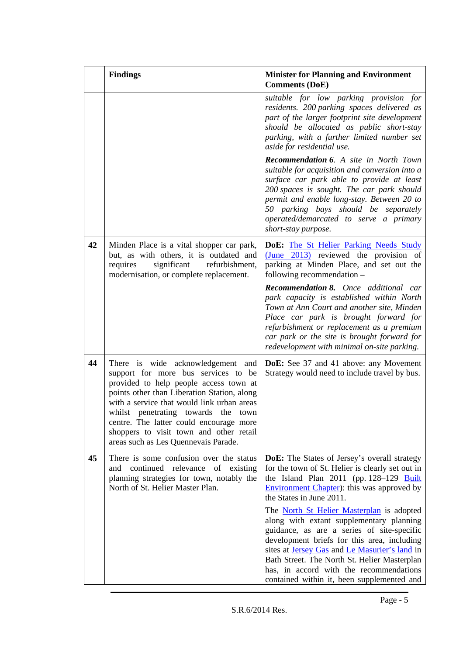|    | <b>Findings</b>                                                                                                                                                                                                                                                                                                                                                                      | <b>Minister for Planning and Environment</b><br><b>Comments (DoE)</b>                                                                                                                                                                                                                                                                                                                             |
|----|--------------------------------------------------------------------------------------------------------------------------------------------------------------------------------------------------------------------------------------------------------------------------------------------------------------------------------------------------------------------------------------|---------------------------------------------------------------------------------------------------------------------------------------------------------------------------------------------------------------------------------------------------------------------------------------------------------------------------------------------------------------------------------------------------|
|    |                                                                                                                                                                                                                                                                                                                                                                                      | suitable for low parking provision for<br>residents. 200 parking spaces delivered as<br>part of the larger footprint site development<br>should be allocated as public short-stay<br>parking, with a further limited number set<br>aside for residential use.                                                                                                                                     |
|    |                                                                                                                                                                                                                                                                                                                                                                                      | <b>Recommendation 6.</b> A site in North Town<br>suitable for acquisition and conversion into a<br>surface car park able to provide at least<br>200 spaces is sought. The car park should<br>permit and enable long-stay. Between 20 to<br>50 parking bays should be separately<br>operated/demarcated to serve a primary<br>short-stay purpose.                                                  |
| 42 | Minden Place is a vital shopper car park,<br>but, as with others, it is outdated and<br>requires<br>significant refurbishment,<br>modernisation, or complete replacement.                                                                                                                                                                                                            | DoE: The St Helier Parking Needs Study<br>$\frac{\text{June } 2013)}{}$ reviewed the provision of<br>parking at Minden Place, and set out the<br>following recommendation -                                                                                                                                                                                                                       |
|    |                                                                                                                                                                                                                                                                                                                                                                                      | Recommendation 8. Once additional car<br>park capacity is established within North<br>Town at Ann Court and another site, Minden<br>Place car park is brought forward for<br>refurbishment or replacement as a premium<br>car park or the site is brought forward for<br>redevelopment with minimal on-site parking.                                                                              |
| 44 | There is wide acknowledgement and<br>support for more bus services to be<br>provided to help people access town at<br>points other than Liberation Station, along<br>with a service that would link urban areas<br>whilst penetrating towards the town<br>centre. The latter could encourage more<br>shoppers to visit town and other retail<br>areas such as Les Quennevais Parade. | <b>DoE:</b> See 37 and 41 above: any Movement<br>Strategy would need to include travel by bus.                                                                                                                                                                                                                                                                                                    |
| 45 | There is some confusion over the status<br>continued relevance of existing<br>and<br>planning strategies for town, notably the<br>North of St. Helier Master Plan.                                                                                                                                                                                                                   | <b>DoE:</b> The States of Jersey's overall strategy<br>for the town of St. Helier is clearly set out in<br>the Island Plan 2011 (pp. 128-129 Built<br><b>Environment Chapter</b> ): this was approved by<br>the States in June 2011.                                                                                                                                                              |
|    |                                                                                                                                                                                                                                                                                                                                                                                      | The <b>North St Helier Masterplan</b> is adopted<br>along with extant supplementary planning<br>guidance, as are a series of site-specific<br>development briefs for this area, including<br>sites at <b>Jersey Gas</b> and <i>Le Masurier's land</i> in<br>Bath Street. The North St. Helier Masterplan<br>has, in accord with the recommendations<br>contained within it, been supplemented and |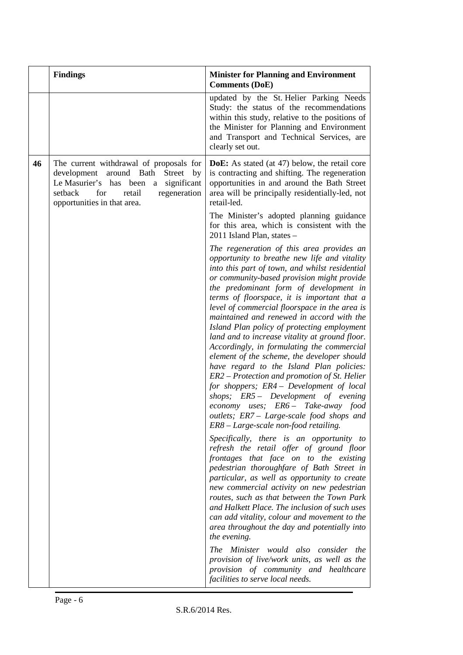|    | <b>Findings</b>                                                                                                                                                                                          | <b>Minister for Planning and Environment</b><br><b>Comments (DoE)</b>                                                                                                                                                                                                                                                                                                                                                                                                                                                                                                                                                                                                                                                                                                                                                                                                                     |
|----|----------------------------------------------------------------------------------------------------------------------------------------------------------------------------------------------------------|-------------------------------------------------------------------------------------------------------------------------------------------------------------------------------------------------------------------------------------------------------------------------------------------------------------------------------------------------------------------------------------------------------------------------------------------------------------------------------------------------------------------------------------------------------------------------------------------------------------------------------------------------------------------------------------------------------------------------------------------------------------------------------------------------------------------------------------------------------------------------------------------|
|    |                                                                                                                                                                                                          | updated by the St. Helier Parking Needs<br>Study: the status of the recommendations<br>within this study, relative to the positions of<br>the Minister for Planning and Environment<br>and Transport and Technical Services, are<br>clearly set out.                                                                                                                                                                                                                                                                                                                                                                                                                                                                                                                                                                                                                                      |
| 46 | The current withdrawal of proposals for<br>development around Bath<br>Street<br>by<br>Le Masurier's has been<br>a significant<br>regeneration<br>retail<br>setback<br>for<br>opportunities in that area. | <b>DoE:</b> As stated (at 47) below, the retail core<br>is contracting and shifting. The regeneration<br>opportunities in and around the Bath Street<br>area will be principally residentially-led, not<br>retail-led.                                                                                                                                                                                                                                                                                                                                                                                                                                                                                                                                                                                                                                                                    |
|    |                                                                                                                                                                                                          | The Minister's adopted planning guidance<br>for this area, which is consistent with the<br>2011 Island Plan, states -                                                                                                                                                                                                                                                                                                                                                                                                                                                                                                                                                                                                                                                                                                                                                                     |
|    |                                                                                                                                                                                                          | The regeneration of this area provides an<br>opportunity to breathe new life and vitality<br>into this part of town, and whilst residential<br>or community-based provision might provide<br>the predominant form of development in<br>terms of floorspace, it is important that a<br>level of commercial floorspace in the area is<br>maintained and renewed in accord with the<br>Island Plan policy of protecting employment<br>land and to increase vitality at ground floor.<br>Accordingly, in formulating the commercial<br>element of the scheme, the developer should<br>have regard to the Island Plan policies:<br>ER2 – Protection and promotion of St. Helier<br>for shoppers; ER4 - Development of local<br>shops; ER5 - Development of evening<br>economy uses; ER6 - Take-away food<br>outlets; ER7 – Large-scale food shops and<br>ER8 - Large-scale non-food retailing. |
|    |                                                                                                                                                                                                          | Specifically, there is an opportunity to<br>refresh the retail offer of ground floor<br>frontages that face on to the existing<br>pedestrian thoroughfare of Bath Street in<br>particular, as well as opportunity to create<br>new commercial activity on new pedestrian<br>routes, such as that between the Town Park<br>and Halkett Place. The inclusion of such uses<br>can add vitality, colour and movement to the<br>area throughout the day and potentially into<br>the evening.                                                                                                                                                                                                                                                                                                                                                                                                   |
|    |                                                                                                                                                                                                          | The Minister would also consider the<br>provision of live/work units, as well as the<br>provision of community and healthcare<br>facilities to serve local needs.                                                                                                                                                                                                                                                                                                                                                                                                                                                                                                                                                                                                                                                                                                                         |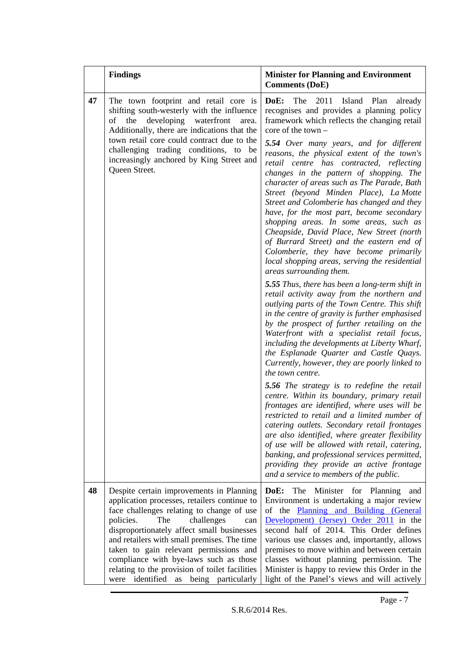|    | <b>Findings</b>                                                                                                                                                                                                                                                                                                                                                                                                                                                  | <b>Minister for Planning and Environment</b><br><b>Comments (DoE)</b>                                                                                                                                                                                                                                                                                                                                                                                                                                                                                                                                                                                                                                                                                                                                                                                                                                                                                                                                                                                                                                                                                                                                                                                                                                                                                                                                                                                                                                                                                                                                                                                                                                                                                                    |
|----|------------------------------------------------------------------------------------------------------------------------------------------------------------------------------------------------------------------------------------------------------------------------------------------------------------------------------------------------------------------------------------------------------------------------------------------------------------------|--------------------------------------------------------------------------------------------------------------------------------------------------------------------------------------------------------------------------------------------------------------------------------------------------------------------------------------------------------------------------------------------------------------------------------------------------------------------------------------------------------------------------------------------------------------------------------------------------------------------------------------------------------------------------------------------------------------------------------------------------------------------------------------------------------------------------------------------------------------------------------------------------------------------------------------------------------------------------------------------------------------------------------------------------------------------------------------------------------------------------------------------------------------------------------------------------------------------------------------------------------------------------------------------------------------------------------------------------------------------------------------------------------------------------------------------------------------------------------------------------------------------------------------------------------------------------------------------------------------------------------------------------------------------------------------------------------------------------------------------------------------------------|
| 47 | The town footprint and retail core is<br>shifting south-westerly with the influence<br>developing<br>the<br>waterfront<br>of<br>area.<br>Additionally, there are indications that the<br>town retail core could contract due to the<br>challenging trading conditions, to be<br>increasingly anchored by King Street and<br>Queen Street.                                                                                                                        | DoE:<br>The<br>2011<br>Island Plan<br>already<br>recognises and provides a planning policy<br>framework which reflects the changing retail<br>$\frac{1}{2}$ core of the town $-$<br>5.54 Over many years, and for different<br>reasons, the physical extent of the town's<br>retail centre has contracted, reflecting<br>changes in the pattern of shopping. The<br>character of areas such as The Parade, Bath<br>Street (beyond Minden Place), La Motte<br>Street and Colomberie has changed and they<br>have, for the most part, become secondary<br>shopping areas. In some areas, such as<br>Cheapside, David Place, New Street (north<br>of Burrard Street) and the eastern end of<br>Colomberie, they have become primarily<br>local shopping areas, serving the residential<br>areas surrounding them.<br>5.55 Thus, there has been a long-term shift in<br>retail activity away from the northern and<br>outlying parts of the Town Centre. This shift<br>in the centre of gravity is further emphasised<br>by the prospect of further retailing on the<br>Waterfront with a specialist retail focus,<br>including the developments at Liberty Wharf,<br>the Esplanade Quarter and Castle Quays.<br>Currently, however, they are poorly linked to<br>the town centre.<br>5.56 The strategy is to redefine the retail<br>centre. Within its boundary, primary retail<br>frontages are identified, where uses will be<br>restricted to retail and a limited number of<br>catering outlets. Secondary retail frontages<br>are also identified, where greater flexibility<br>of use will be allowed with retail, catering,<br>banking, and professional services permitted,<br>providing they provide an active frontage<br>and a service to members of the public. |
| 48 | Despite certain improvements in Planning<br>application processes, retailers continue to<br>face challenges relating to change of use<br>policies.<br>The<br>challenges<br>can<br>disproportionately affect small businesses<br>and retailers with small premises. The time<br>taken to gain relevant permissions and<br>compliance with bye-laws such as those<br>relating to the provision of toilet facilities<br>identified<br>as being particularly<br>were | Minister for Planning<br>The<br>DoE:<br>and<br>Environment is undertaking a major review<br>of the Planning and Building (General<br>Development) (Jersey) Order 2011 in the<br>second half of 2014. This Order defines<br>various use classes and, importantly, allows<br>premises to move within and between certain<br>classes without planning permission. The<br>Minister is happy to review this Order in the<br>light of the Panel's views and will actively                                                                                                                                                                                                                                                                                                                                                                                                                                                                                                                                                                                                                                                                                                                                                                                                                                                                                                                                                                                                                                                                                                                                                                                                                                                                                                      |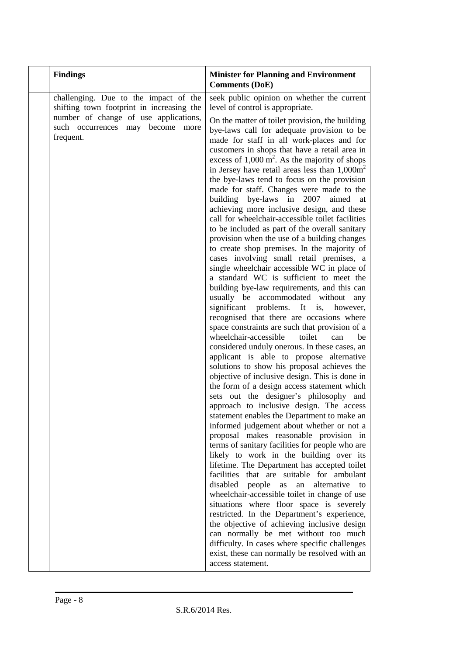| challenging. Due to the impact of the<br>shifting town footprint in increasing the<br>level of control is appropriate.<br>number of change of use applications,<br>such occurrences may become more<br>frequent. | seek public opinion on whether the current<br>On the matter of toilet provision, the building<br>bye-laws call for adequate provision to be                                                                                                                                                                                                                                                                                                                                                                                                                                                                                                                                                                                                                                                                                                                                                                                                                                                                                                                                                                                                                                                                                                                                                                                                                                                                                                                                                                                                                                                                                                                                                                                                                                                                                                                                                                                                                                                                       |
|------------------------------------------------------------------------------------------------------------------------------------------------------------------------------------------------------------------|-------------------------------------------------------------------------------------------------------------------------------------------------------------------------------------------------------------------------------------------------------------------------------------------------------------------------------------------------------------------------------------------------------------------------------------------------------------------------------------------------------------------------------------------------------------------------------------------------------------------------------------------------------------------------------------------------------------------------------------------------------------------------------------------------------------------------------------------------------------------------------------------------------------------------------------------------------------------------------------------------------------------------------------------------------------------------------------------------------------------------------------------------------------------------------------------------------------------------------------------------------------------------------------------------------------------------------------------------------------------------------------------------------------------------------------------------------------------------------------------------------------------------------------------------------------------------------------------------------------------------------------------------------------------------------------------------------------------------------------------------------------------------------------------------------------------------------------------------------------------------------------------------------------------------------------------------------------------------------------------------------------------|
|                                                                                                                                                                                                                  |                                                                                                                                                                                                                                                                                                                                                                                                                                                                                                                                                                                                                                                                                                                                                                                                                                                                                                                                                                                                                                                                                                                                                                                                                                                                                                                                                                                                                                                                                                                                                                                                                                                                                                                                                                                                                                                                                                                                                                                                                   |
| building bye-laws in 2007<br>significant<br>wheelchair-accessible<br>disabled<br>people<br>access statement.                                                                                                     | made for staff in all work-places and for<br>customers in shops that have a retail area in<br>excess of $1,000 \text{ m}^2$ . As the majority of shops<br>in Jersey have retail areas less than $1,000\text{m}^2$<br>the bye-laws tend to focus on the provision<br>made for staff. Changes were made to the<br>aimed<br>at<br>achieving more inclusive design, and these<br>call for wheelchair-accessible toilet facilities<br>to be included as part of the overall sanitary<br>provision when the use of a building changes<br>to create shop premises. In the majority of<br>cases involving small retail premises, a<br>single wheelchair accessible WC in place of<br>a standard WC is sufficient to meet the<br>building bye-law requirements, and this can<br>usually be accommodated without<br>any<br>problems. It<br>however,<br>is,<br>recognised that there are occasions where<br>space constraints are such that provision of a<br>toilet<br>can<br>be<br>considered unduly onerous. In these cases, an<br>applicant is able to propose alternative<br>solutions to show his proposal achieves the<br>objective of inclusive design. This is done in<br>the form of a design access statement which<br>sets out the designer's philosophy and<br>approach to inclusive design. The access<br>statement enables the Department to make an<br>informed judgement about whether or not a<br>proposal makes reasonable provision in<br>terms of sanitary facilities for people who are<br>likely to work in the building over its<br>lifetime. The Department has accepted toilet<br>facilities that are suitable for ambulant<br>alternative<br>to<br>as<br>an<br>wheelchair-accessible toilet in change of use<br>situations where floor space is severely<br>restricted. In the Department's experience,<br>the objective of achieving inclusive design<br>can normally be met without too much<br>difficulty. In cases where specific challenges<br>exist, these can normally be resolved with an |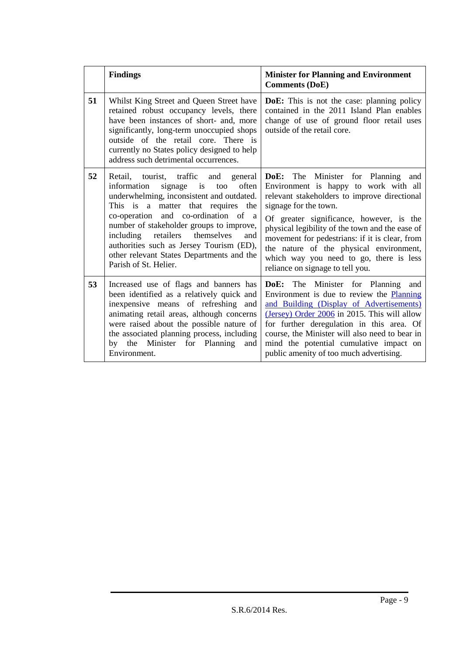|    | <b>Findings</b>                                                                                                                                                                                                                                                                                                                                                                                                             | <b>Minister for Planning and Environment</b><br><b>Comments (DoE)</b>                                                                                                                                                                                                                                                                                                                                                                  |  |
|----|-----------------------------------------------------------------------------------------------------------------------------------------------------------------------------------------------------------------------------------------------------------------------------------------------------------------------------------------------------------------------------------------------------------------------------|----------------------------------------------------------------------------------------------------------------------------------------------------------------------------------------------------------------------------------------------------------------------------------------------------------------------------------------------------------------------------------------------------------------------------------------|--|
| 51 | Whilst King Street and Queen Street have<br>retained robust occupancy levels, there<br>have been instances of short- and, more<br>significantly, long-term unoccupied shops<br>outside of the retail core. There is<br>currently no States policy designed to help<br>address such detrimental occurrences.                                                                                                                 | <b>DoE:</b> This is not the case: planning policy<br>contained in the 2011 Island Plan enables<br>change of use of ground floor retail uses<br>outside of the retail core.                                                                                                                                                                                                                                                             |  |
| 52 | Retail, tourist, traffic and<br>general<br>signage is<br>often<br>information<br>too<br>underwhelming, inconsistent and outdated.<br>This is a matter that requires the<br>co-operation and co-ordination of a<br>number of stakeholder groups to improve,<br>including<br>retailers<br>themselves<br>and<br>authorities such as Jersey Tourism (ED),<br>other relevant States Departments and the<br>Parish of St. Helier. | <b>DoE:</b> The Minister for Planning and<br>Environment is happy to work with all<br>relevant stakeholders to improve directional<br>signage for the town.<br>Of greater significance, however, is the<br>physical legibility of the town and the ease of<br>movement for pedestrians: if it is clear, from<br>the nature of the physical environment,<br>which way you need to go, there is less<br>reliance on signage to tell you. |  |
| 53 | Increased use of flags and banners has<br>been identified as a relatively quick and<br>inexpensive means of refreshing and<br>animating retail areas, although concerns<br>were raised about the possible nature of<br>the associated planning process, including<br>Minister for Planning<br>by the<br>and<br>Environment.                                                                                                 | DoE: The Minister for Planning and<br>Environment is due to review the Planning<br>and Building (Display of Advertisements)<br>(Jersey) Order 2006 in 2015. This will allow<br>for further deregulation in this area. Of<br>course, the Minister will also need to bear in<br>mind the potential cumulative impact on<br>public amenity of too much advertising.                                                                       |  |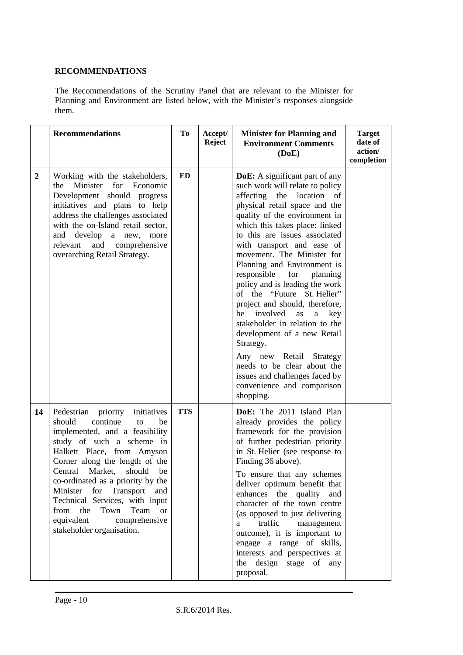## **RECOMMENDATIONS**

The Recommendations of the Scrutiny Panel that are relevant to the Minister for Planning and Environment are listed below, with the Minister's responses alongside them.

|                  | <b>Recommendations</b>                                                                                                                                                                                                                                                                                                                                                                                                                          | To         | Accept/<br><b>Reject</b> | <b>Minister for Planning and</b><br><b>Environment Comments</b><br>(DoE)                                                                                                                                                                                                                                                                                                                                                                                                                                                                                                                                                                                                                                                                 | <b>Target</b><br>date of<br>action/<br>completion |
|------------------|-------------------------------------------------------------------------------------------------------------------------------------------------------------------------------------------------------------------------------------------------------------------------------------------------------------------------------------------------------------------------------------------------------------------------------------------------|------------|--------------------------|------------------------------------------------------------------------------------------------------------------------------------------------------------------------------------------------------------------------------------------------------------------------------------------------------------------------------------------------------------------------------------------------------------------------------------------------------------------------------------------------------------------------------------------------------------------------------------------------------------------------------------------------------------------------------------------------------------------------------------------|---------------------------------------------------|
| $\boldsymbol{2}$ | Working with the stakeholders,<br>Minister for Economic<br>the<br>Development should progress<br>initiatives and plans to help<br>address the challenges associated<br>with the on-Island retail sector,<br>develop<br>and<br>a new,<br>more<br>and comprehensive<br>relevant<br>overarching Retail Strategy.                                                                                                                                   | ED         |                          | <b>DoE:</b> A significant part of any<br>such work will relate to policy<br>affecting the location<br>of<br>physical retail space and the<br>quality of the environment in<br>which this takes place: linked<br>to this are issues associated<br>with transport and ease of<br>movement. The Minister for<br>Planning and Environment is<br>responsible<br>for<br>planning<br>policy and is leading the work<br>of the "Future St. Helier"<br>project and should, therefore,<br>involved<br>be<br>as<br>a<br>key<br>stakeholder in relation to the<br>development of a new Retail<br>Strategy.<br>Any new Retail<br>Strategy<br>needs to be clear about the<br>issues and challenges faced by<br>convenience and comparison<br>shopping. |                                                   |
| 14               | Pedestrian priority<br>initiatives<br>should<br>continue<br>to<br>be<br>implemented, and a feasibility<br>study of such a scheme in<br>Halkett Place, from Amyson<br>Corner along the length of the<br>Market,<br>Central<br>should<br>be<br>co-ordinated as a priority by the<br>Minister for Transport<br>and<br>Technical Services, with input<br>the<br>Team or<br>from<br>Town<br>equivalent<br>comprehensive<br>stakeholder organisation. | <b>TTS</b> |                          | DoE: The 2011 Island Plan<br>already provides the policy<br>framework for the provision<br>of further pedestrian priority<br>in St. Helier (see response to<br>Finding 36 above).<br>To ensure that any schemes<br>deliver optimum benefit that<br>enhances the quality<br>and<br>character of the town centre<br>(as opposed to just delivering<br>traffic<br>management<br>a<br>outcome), it is important to<br>engage a range of skills,<br>interests and perspectives at<br>the design stage of any<br>proposal.                                                                                                                                                                                                                     |                                                   |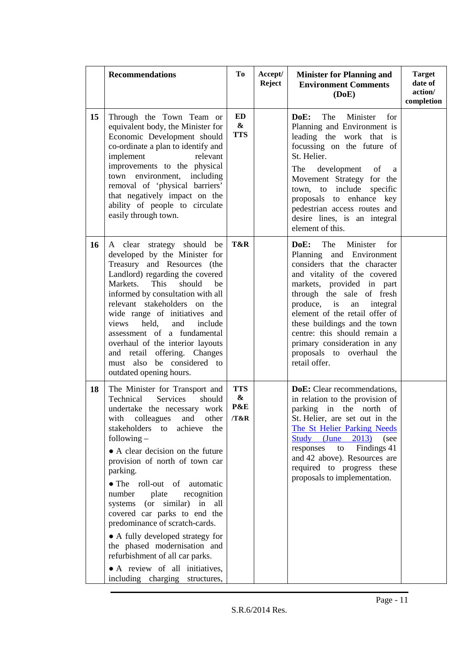|    | <b>Recommendations</b>                                                                                                                                                                                                                                                                                                                                                                                                                                                                                                                                                                                                             | T <sub>0</sub>                               | Accept/<br><b>Reject</b> | <b>Minister for Planning and</b><br><b>Environment Comments</b><br>(DoE)                                                                                                                                                                                                                                                                                                                                | <b>Target</b><br>date of<br>action/<br>completion |
|----|------------------------------------------------------------------------------------------------------------------------------------------------------------------------------------------------------------------------------------------------------------------------------------------------------------------------------------------------------------------------------------------------------------------------------------------------------------------------------------------------------------------------------------------------------------------------------------------------------------------------------------|----------------------------------------------|--------------------------|---------------------------------------------------------------------------------------------------------------------------------------------------------------------------------------------------------------------------------------------------------------------------------------------------------------------------------------------------------------------------------------------------------|---------------------------------------------------|
| 15 | Through the Town Team or<br>equivalent body, the Minister for<br>Economic Development should<br>co-ordinate a plan to identify and<br>implement<br>relevant<br>improvements to the physical<br>town environment,<br>including<br>removal of 'physical barriers'<br>that negatively impact on the<br>ability of people to circulate<br>easily through town.                                                                                                                                                                                                                                                                         | <b>ED</b><br>$\boldsymbol{\&}$<br><b>TTS</b> |                          | DoE:<br>The<br>Minister<br>for<br>Planning and Environment is<br>leading the work that is<br>focussing on the future of<br>St. Helier.<br>development of<br>The<br>a<br>Movement Strategy for the<br>town, to include specific<br>proposals to enhance key<br>pedestrian access routes and<br>desire lines, is an integral<br>element of this.                                                          |                                                   |
| 16 | A clear strategy should be<br>developed by the Minister for<br>Treasury and Resources (the<br>Landlord) regarding the covered<br>Markets.<br>This<br>should<br>be<br>informed by consultation with all<br>relevant stakeholders on<br>the<br>wide range of initiatives and<br>held,<br>views<br>and<br>include<br>assessment of a fundamental<br>overhaul of the interior layouts<br>and retail offering. Changes<br>be considered to<br>must also<br>outdated opening hours.                                                                                                                                                      | T&R                                          |                          | DoE:<br>The<br>Minister<br>for<br>Planning and Environment<br>considers that the character<br>and vitality of the covered<br>markets, provided in part<br>through the sale of fresh<br>produce, is<br>an<br>integral<br>element of the retail offer of<br>these buildings and the town<br>centre: this should remain a<br>primary consideration in any<br>proposals to overhaul<br>the<br>retail offer. |                                                   |
| 18 | The Minister for Transport and<br>Services<br>Technical<br>should<br>undertake the necessary work<br>with colleagues<br>other<br>and<br>stakeholders<br>achieve<br>to<br>the<br>following $-$<br>• A clear decision on the future<br>provision of north of town car<br>parking.<br>• The roll-out of automatic<br>recognition<br>number<br>plate<br>systems (or similar)<br>in<br>all<br>covered car parks to end the<br>predominance of scratch-cards.<br>• A fully developed strategy for<br>the phased modernisation and<br>refurbishment of all car parks.<br>• A review of all initiatives,<br>including charging structures, | <b>TTS</b><br>&<br>P&E<br>/T&R               |                          | DoE: Clear recommendations,<br>in relation to the provision of<br>parking in the north of<br>St. Helier, are set out in the<br>The St Helier Parking Needs<br>Study (June<br>2013)<br>(see<br>Findings 41<br>responses<br>to<br>and 42 above). Resources are<br>required to progress these<br>proposals to implementation.                                                                              |                                                   |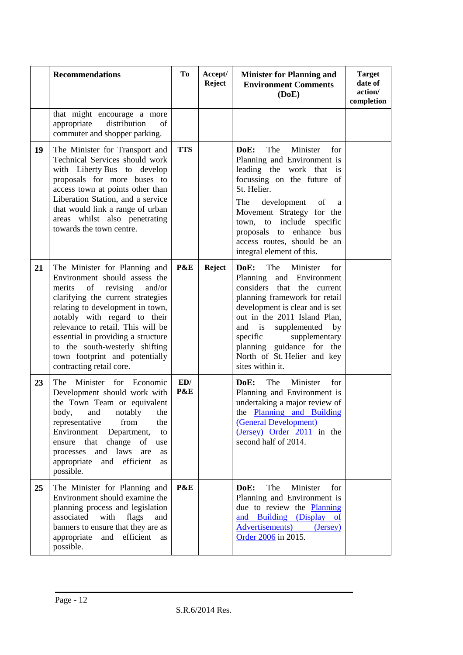|    | <b>Recommendations</b>                                                                                                                                                                                                                                                                                                                                                                   | To         | Accept/<br><b>Reject</b> | <b>Minister for Planning and</b><br><b>Environment Comments</b><br>(DoE)                                                                                                                                                                                                                                                               | <b>Target</b><br>date of<br>action/<br>completion |
|----|------------------------------------------------------------------------------------------------------------------------------------------------------------------------------------------------------------------------------------------------------------------------------------------------------------------------------------------------------------------------------------------|------------|--------------------------|----------------------------------------------------------------------------------------------------------------------------------------------------------------------------------------------------------------------------------------------------------------------------------------------------------------------------------------|---------------------------------------------------|
|    | that might encourage a more<br>appropriate distribution<br>of<br>commuter and shopper parking.                                                                                                                                                                                                                                                                                           |            |                          |                                                                                                                                                                                                                                                                                                                                        |                                                   |
| 19 | The Minister for Transport and<br>Technical Services should work<br>with Liberty Bus to develop<br>proposals for more buses to<br>access town at points other than<br>Liberation Station, and a service<br>that would link a range of urban<br>areas whilst also penetrating<br>towards the town centre.                                                                                 | <b>TTS</b> |                          | Minister<br>DoE:<br>The<br>for<br>Planning and Environment is<br>leading the work that is<br>focussing on the future of<br>St. Helier.<br>The<br>development<br>of<br>a<br>Movement Strategy for the<br>town, to include specific<br>proposals to enhance<br>bus<br>access routes, should be an<br>integral element of this.           |                                                   |
| 21 | The Minister for Planning and<br>Environment should assess the<br>of<br>revising<br>merits<br>and/or<br>clarifying the current strategies<br>relating to development in town,<br>notably with regard to their<br>relevance to retail. This will be<br>essential in providing a structure<br>to the south-westerly shifting<br>town footprint and potentially<br>contracting retail core. | P&E        | <b>Reject</b>            | DoE:<br>The<br>Minister<br>for<br>Planning and Environment<br>considers that the current<br>planning framework for retail<br>development is clear and is set<br>out in the 2011 Island Plan,<br>and is supplemented<br>by<br>specific<br>supplementary<br>planning guidance for the<br>North of St. Helier and key<br>sites within it. |                                                   |
| 23 | The<br>Minister for Economic<br>Development should work with<br>the Town Team or equivalent<br>body, and notably the<br>from<br>representative<br>the<br>Environment<br>Department,<br>to<br>ensure that<br>change of<br>use<br>processes<br>and laws<br>are<br>as<br>appropriate<br>efficient<br>and<br><b>as</b><br>possible.                                                          | ED/<br>P&E |                          | The<br>Minister<br>DoE:<br>for<br>Planning and Environment is<br>undertaking a major review of<br>the Planning and Building<br>(General Development)<br>(Jersey) Order 2011 in the<br>second half of 2014.                                                                                                                             |                                                   |
| 25 | The Minister for Planning and<br>Environment should examine the<br>planning process and legislation<br>associated<br>with<br>flags<br>and<br>banners to ensure that they are as<br>appropriate<br>efficient<br>and<br>as<br>possible.                                                                                                                                                    | P&E        |                          | DoE:<br>The<br>Minister<br>for<br>Planning and Environment is<br>due to review the Planning<br>and Building (Display of<br>Advertisements)<br>(Jersey)<br>Order 2006 in 2015.                                                                                                                                                          |                                                   |